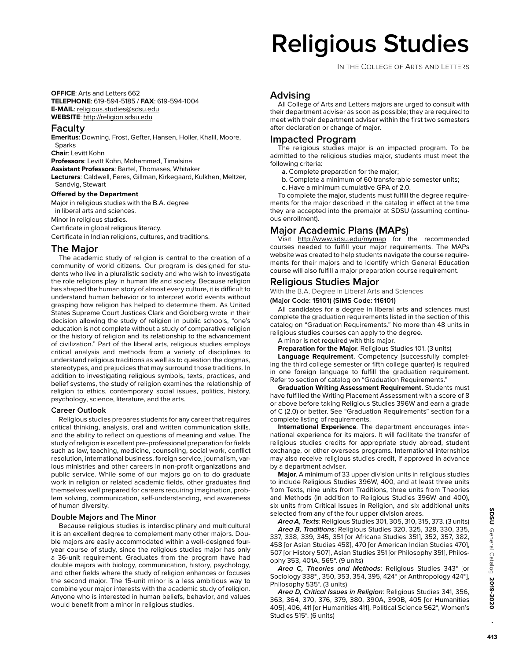# **Religious Studies**

In the College of Arts and Letters

**OFFICE**: Arts and Letters 662 **TELEPHONE**: 619-594-5185 / **FAX**: 619-594-1004 **E-MAIL**: religious.studies@sdsu.edu **WEBSITE**: http://religion.sdsu.edu

# **Faculty**

**Emeritus**: Downing, Frost, Gefter, Hansen, Holler, Khalil, Moore, Sparks **Chair**: Levitt Kohn

**Professors**: Levitt Kohn, Mohammed, Timalsina

**Assistant Professors**: Bartel, Thomases, Whitaker

**Lecturers**: Caldwell, Feres, Gillman, Kirkegaard, Kulkhen, Meltzer, Sandvig, Stewart

#### **Offered by the Department**

Major in religious studies with the B.A. degree in liberal arts and sciences. Minor in religious studies.

Certificate in global religious literacy.

Certificate in Indian religions, cultures, and traditions.

# **The Major**

The academic study of religion is central to the creation of a community of world citizens. Our program is designed for students who live in a pluralistic society and who wish to investigate the role religions play in human life and society. Because religion has shaped the human story of almost every culture, it is difficult to understand human behavior or to interpret world events without grasping how religion has helped to determine them. As United States Supreme Court Justices Clark and Goldberg wrote in their decision allowing the study of religion in public schools, "one's education is not complete without a study of comparative religion or the history of religion and its relationship to the advancement of civilization." Part of the liberal arts, religious studies employs critical analysis and methods from a variety of disciplines to understand religious traditions as well as to question the dogmas, stereotypes, and prejudices that may surround those traditions. In addition to investigating religious symbols, texts, practices, and belief systems, the study of religion examines the relationship of religion to ethics, contemporary social issues, politics, history, psychology, science, literature, and the arts.

## **Career Outlook**

Religious studies prepares students for any career that requires critical thinking, analysis, oral and written communication skills, and the ability to reflect on questions of meaning and value. The study of religion is excellent pre-professional preparation for fields such as law, teaching, medicine, counseling, social work, conflict resolution, international business, foreign service, journalism, various ministries and other careers in non-profit organizations and public service. While some of our majors go on to do graduate work in religion or related academic fields, other graduates find themselves well prepared for careers requiring imagination, problem solving, communication, self-understanding, and awareness of human diversity.

#### **Double Majors and The Minor**

Because religious studies is interdisciplinary and multicultural it is an excellent degree to complement many other majors. Double majors are easily accommodated within a well-designed fouryear course of study, since the religious studies major has only a 36-unit requirement. Graduates from the program have had double majors with biology, communication, history, psychology, and other fields where the study of religion enhances or focuses the second major. The 15-unit minor is a less ambitious way to combine your major interests with the academic study of religion. Anyone who is interested in human beliefs, behavior, and values would benefit from a minor in religious studies.

# **Advising**

All College of Arts and Letters majors are urged to consult with their department adviser as soon as possible; they are required to meet with their department adviser within the first two semesters after declaration or change of major.

# **Impacted Program**

The religious studies major is an impacted program. To be admitted to the religious studies major, students must meet the following criteria:

- **a.** Complete preparation for the major;
- **b.** Complete a minimum of 60 transferable semester units;
- **c.** Have a minimum cumulative GPA of 2.0.

To complete the major, students must fulfill the degree requirements for the major described in the catalog in effect at the time they are accepted into the premajor at SDSU (assuming continuous enrollment).

# **Major Academic Plans (MAPs)**

Visit http://www.sdsu.edu/mymap for the recommended courses needed to fulfill your major requirements. The MAPs website was created to help students navigate the course requirements for their majors and to identify which General Education course will also fulfill a major preparation course requirement.

# **Religious Studies Major**

With the B.A. Degree in Liberal Arts and Sciences

#### **(Major Code: 15101) (SIMS Code: 116101)**

All candidates for a degree in liberal arts and sciences must complete the graduation requirements listed in the section of this catalog on "Graduation Requirements." No more than 48 units in religious studies courses can apply to the degree.

A minor is not required with this major.

**Preparation for the Major**. Religious Studies 101. (3 units)

**Language Requirement**. Competency (successfully completing the third college semester or fifth college quarter) is required in one foreign language to fulfill the graduation requirement. Refer to section of catalog on "Graduation Requirements."

**Graduation Writing Assessment Requirement**. Students must have fulfilled the Writing Placement Assessment with a score of 8 or above before taking Religious Studies 396W and earn a grade of C (2.0) or better. See "Graduation Requirements" section for a complete listing of requirements.

**International Experience**. The department encourages international experience for its majors. It will facilitate the transfer of religious studies credits for appropriate study abroad, student exchange, or other overseas programs. International internships may also receive religious studies credit, if approved in advance by a department adviser.

**Major**. A minimum of 33 upper division units in religious studies to include Religious Studies 396W, 400, and at least three units from Texts, nine units from Traditions, three units from Theories and Methods (in addition to Religious Studies 396W and 400), six units from Critical Issues in Religion, and six additional units selected from any of the four upper division areas.

**Area A, Texts**: Religious Studies 301, 305, 310, 315, 373. (3 units) **Area B, Traditions**: Religious Studies 320, 325, 328, 330, 335, 337, 338, 339, 345, 351 [or Africana Studies 351], 352, 357, 382, 458 [or Asian Studies 458], 470 [or American Indian Studies 470], 507 [or History 507], Asian Studies 351 [or Philosophy 351], Philosophy 353, 401A, 565\*. (9 units)

**Area C, Theories and Methods**: Religious Studies 343\* [or Sociology 338\*], 350, 353, 354, 395, 424\* [or Anthropology 424\*], Philosophy 535\*. (3 units)

**Area D, Critical Issues in Religion**: Religious Studies 341, 356, 363, 364, 370, 376, 379, 380, 390A, 390B, 405 [or Humanities 405], 406, 411 [or Humanities 411], Political Science 562\*, Women's Studies 515\*. (6 units)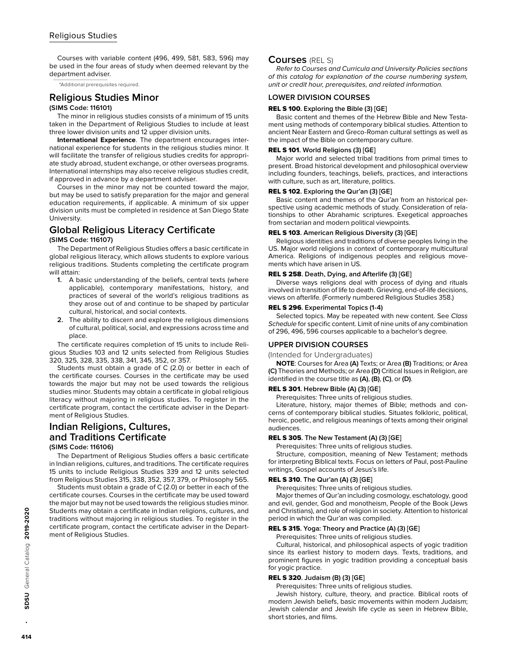# Religious Studies

Courses with variable content (496, 499, 581, 583, 596) may be used in the four areas of study when deemed relevant by the department adviser.

\*Additional prerequisites required.

# **Religious Studies Minor**

#### **(SIMS Code: 116101)**

The minor in religious studies consists of a minimum of 15 units taken in the Department of Religious Studies to include at least three lower division units and 12 upper division units.

**International Experience**. The department encourages international experience for students in the religious studies minor. It will facilitate the transfer of religious studies credits for appropriate study abroad, student exchange, or other overseas programs. International internships may also receive religious studies credit, if approved in advance by a department adviser.

Courses in the minor may not be counted toward the major, but may be used to satisfy preparation for the major and general education requirements, if applicable. A minimum of six upper division units must be completed in residence at San Diego State University.

# **Global Religious Literacy Certificate**

#### **(SIMS Code: 116107)**

The Department of Religious Studies offers a basic certificate in global religious literacy, which allows students to explore various religious traditions. Students completing the certificate program will attain:

- **1.** A basic understanding of the beliefs, central texts (where applicable), contemporary manifestations, history, and practices of several of the world's religious traditions as they arose out of and continue to be shaped by particular cultural, historical, and social contexts.
- **2.** The ability to discern and explore the religious dimensions of cultural, political, social, and expressions across time and place.

The certificate requires completion of 15 units to include Religious Studies 103 and 12 units selected from Religious Studies 320, 325, 328, 335, 338, 341, 345, 352, or 357.

Students must obtain a grade of C (2.0) or better in each of the certificate courses. Courses in the certificate may be used towards the major but may not be used towards the religious studies minor. Students may obtain a certificate in global religious literacy without majoring in religious studies. To register in the certificate program, contact the certificate adviser in the Department of Religious Studies.

## **Indian Religions, Cultures, and Traditions Certificate (SIMS Code: 116106)**

The Department of Religious Studies offers a basic certificate in Indian religions, cultures, and traditions. The certificate requires 15 units to include Religious Studies 339 and 12 units selected from Religious Studies 315, 338, 352, 357, 379, or Philosophy 565.

Students must obtain a grade of C (2.0) or better in each of the certificate courses. Courses in the certificate may be used toward the major but may not be used towards the religious studies minor. Students may obtain a certificate in Indian religions, cultures, and traditions without majoring in religious studies. To register in the certificate program, contact the certificate adviser in the Department of Religious Studies.

## **Courses** (REL S)

Refer to Courses and Curricula and University Policies sections of this catalog for explanation of the course numbering system, unit or credit hour, prerequisites, and related information.

# **LOWER DIVISION COURSES**

#### REL S 100**. Exploring the Bible (3) [GE]**

Basic content and themes of the Hebrew Bible and New Testament using methods of contemporary biblical studies. Attention to ancient Near Eastern and Greco-Roman cultural settings as well as the impact of the Bible on contemporary culture.

#### REL S 101**. World Religions (3) [GE]**

Major world and selected tribal traditions from primal times to present. Broad historical development and philosophical overview including founders, teachings, beliefs, practices, and interactions with culture, such as art, literature, politics.

#### REL S 102**. Exploring the Qur'an (3) [GE]**

Basic content and themes of the Qur'an from an historical perspective using academic methods of study. Consideration of relationships to other Abrahamic scriptures. Exegetical approaches from sectarian and modern political viewpoints.

#### REL S 103**. American Religious Diversity (3) [GE]**

Religious identities and traditions of diverse peoples living in the US. Major world religions in context of contemporary multicultural America. Religions of indigenous peoples and religious movements which have arisen in US.

#### REL S 258**. Death, Dying, and Afterlife (3) [GE]**

Diverse ways religions deal with process of dying and rituals involved in transition of life to death. Grieving, end-of-life decisions, views on afterlife. (Formerly numbered Religious Studies 358.)

#### REL S 296**. Experimental Topics (1-4)**

Selected topics. May be repeated with new content. See Class Schedule for specific content. Limit of nine units of any combination of 296, 496, 596 courses applicable to a bachelor's degree.

#### **UPPER DIVISION COURSES**

(Intended for Undergraduates)

**NOTE**: Courses for Area **(A)** Texts; or Area **(B)** Traditions; or Area **(C)** Theories and Methods; or Area **(D)** Critical Issues in Religion, are identified in the course title as **(A)**, **(B)**, **(C)**, or **(D)**.

#### REL S 301**. Hebrew Bible (A) (3) [GE]**

Prerequisites: Three units of religious studies.

Literature, history, major themes of Bible; methods and concerns of contemporary biblical studies. Situates folkloric, political, heroic, poetic, and religious meanings of texts among their original audiences.

## REL S 305**. The New Testament (A) (3) [GE]**

Prerequisites: Three units of religious studies.

Structure, composition, meaning of New Testament; methods for interpreting Biblical texts. Focus on letters of Paul, post-Pauline writings, Gospel accounts of Jesus's life.

#### REL S 310**. The Qur'an (A) (3) [GE]**

Prerequisites: Three units of religious studies.

Major themes of Qur'an including cosmology, eschatology, good and evil, gender, God and monotheism, People of the Book (Jews and Christians), and role of religion in society. Attention to historical period in which the Qur'an was compiled.

#### REL S 315**. Yoga: Theory and Practice (A) (3) [GE]**

Prerequisites: Three units of religious studies.

Cultural, historical, and philosophical aspects of yogic tradition since its earliest history to modern days. Texts, traditions, and prominent figures in yogic tradition providing a conceptual basis for yogic practice.

#### REL S 320**. Judaism (B) (3) [GE]**

Prerequisites: Three units of religious studies.

Jewish history, culture, theory, and practice. Biblical roots of modern Jewish beliefs, basic movements within modern Judaism; Jewish calendar and Jewish life cycle as seen in Hebrew Bible, short stories, and films.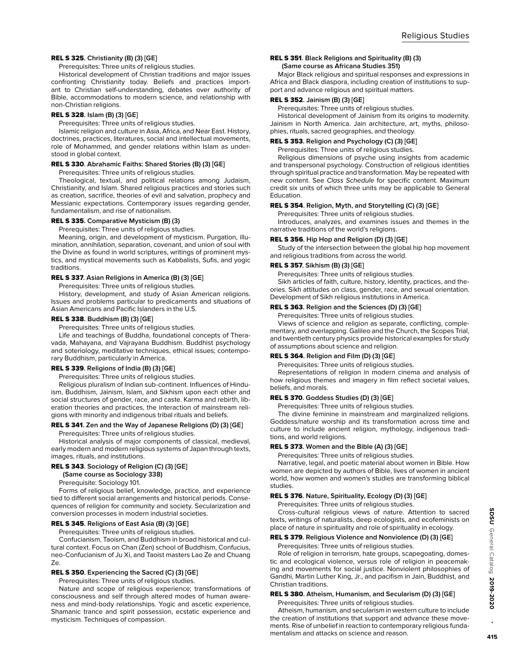#### REL S 325**. Christianity (B) (3) [GE]**

Prerequisites: Three units of religious studies.

Historical development of Christian traditions and major issues confronting Christianity today. Beliefs and practices important to Christian self-understanding, debates over authority of Bible, accommodations to modern science, and relationship with non-Christian religions.

## REL S 328**. Islam (B) (3) [GE]**

Prerequisites: Three units of religious studies.

Islamic religion and culture in Asia, Africa, and Near East. History, doctrines, practices, literatures, social and intellectual movements, role of Mohammed, and gender relations within Islam as understood in global context.

#### REL S 330**. Abrahamic Faiths: Shared Stories (B) (3) [GE]**

Prerequisites: Three units of religious studies.

Theological, textual, and political relations among Judaism, Christianity, and Islam. Shared religious practices and stories such as creation, sacrifice, theories of evil and salvation, prophecy and Messianic expectations. Contemporary issues regarding gender, fundamentalism, and rise of nationalism.

#### REL S 335**. Comparative Mysticism (B) (3)**

Prerequisites: Three units of religious studies.

Meaning, origin, and development of mysticism. Purgation, illumination, annihilation, separation, covenant, and union of soul with the Divine as found in world scriptures, writings of prominent mystics, and mystical movements such as Kabbalists, Sufis, and yogic traditions.

#### REL S 337**. Asian Religions in America (B) (3) [GE]**

Prerequisites: Three units of religious studies.

History, development, and study of Asian American religions. Issues and problems particular to predicaments and situations of Asian Americans and Pacific Islanders in the U.S.

#### REL S 338**. Buddhism (B) (3) [GE]**

Prerequisites: Three units of religious studies.

Life and teachings of Buddha, foundational concepts of Theravada, Mahayana, and Vajrayana Buddhism. Buddhist psychology and soteriology, meditative techniques, ethical issues; contemporary Buddhism, particularly in America.

#### REL S 339**. Religions of India (B) (3) [GE]**

Prerequisites: Three units of religious studies.

Religious pluralism of Indian sub-continent. Influences of Hinduism, Buddhism, Jainism, Islam, and Sikhism upon each other and social structures of gender, race, and caste. Karma and rebirth, liberation theories and practices, the interaction of mainstream religions with minority and indigenous tribal rituals and beliefs.

#### REL S 341**. Zen and the Way of Japanese Religions (D) (3) [GE]**

Prerequisites: Three units of religious studies.

Historical analysis of major components of classical, medieval, early modern and modern religious systems of Japan through texts, images, rituals, and institutions.

## REL S 343**. Sociology of Religion (C) (3) [GE]**

**(Same course as Sociology 338)**

Prerequisite: Sociology 101.

Forms of religious belief, knowledge, practice, and experience tied to different social arrangements and historical periods. Consequences of religion for community and society. Secularization and conversion processes in modern industrial societies.

#### REL S 345**. Religions of East Asia (B) (3) [GE]**

Prerequisites: Three units of religious studies.

Confucianism, Taoism, and Buddhism in broad historical and cultural context. Focus on Chan (Zen) school of Buddhism, Confucius, neo-Confucianism of Ju Xi, and Taoist masters Lao Ze and Chuang Ze.

#### REL S 350**. Experiencing the Sacred (C) (3) [GE]**

Prerequisites: Three units of religious studies.

Nature and scope of religious experience; transformations of consciousness and self through altered modes of human awareness and mind-body relationships. Yogic and ascetic experience, Shamanic trance and spirit possession, ecstatic experience and mysticism. Techniques of compassion.

#### REL S 351**. Black Religions and Spirituality (B) (3) (Same course as Africana Studies 351)**

Major Black religious and spiritual responses and expressions in Africa and Black diaspora, including creation of institutions to support and advance religious and spiritual matters.

#### REL S 352**. Jainism (B) (3) [GE]**

Prerequisites: Three units of religious studies.

Historical development of Jainism from its origins to modernity. Jainism in North America. Jain architecture, art, myths, philosophies, rituals, sacred geographies, and theology.

#### REL S 353**. Religion and Psychology (C) (3) [GE]**

Prerequisites: Three units of religious studies.

Religious dimensions of psyche using insights from academic and transpersonal psychology. Construction of religious identities through spiritual practice and transformation. May be repeated with new content. See Class Schedule for specific content. Maximum credit six units of which three units may be applicable to General Education.

#### REL S 354**. Religion, Myth, and Storytelling (C) (3) [GE]**

Prerequisites: Three units of religious studies.

Introduces, analyzes, and examines issues and themes in the narrative traditions of the world's religions.

#### REL S 356**. Hip Hop and Religion (D) (3) [GE]**

Study of the intersection between the global hip hop movement and religious traditions from across the world.

#### REL S 357**. Sikhism (B) (3) [GE]**

Prerequisites: Three units of religious studies.

Sikh articles of faith, culture, history, identity, practices, and theories. Sikh attitudes on class, gender, race, and sexual orientation. Development of Sikh religious institutions in America.

#### REL S 363**. Religion and the Sciences (D) (3) [GE]**

Prerequisites: Three units of religious studies.

Views of science and religion as separate, conflicting, complementary, and overlapping. Galileo and the Church, the Scopes Trial, and twentieth century physics provide historical examples for study of assumptions about science and religion.

#### REL S 364**. Religion and Film (D) (3) [GE]**

Prerequisites: Three units of religious studies.

Representations of religion in modern cinema and analysis of how religious themes and imagery in film reflect societal values, beliefs, and morals.

#### REL S 370**. Goddess Studies (D) (3) [GE]**

Prerequisites: Three units of religious studies.

The divine feminine in mainstream and marginalized religions. Goddess/nature worship and its transformation across time and culture to include ancient religion, mythology, indigenous traditions, and world religions.

#### REL S 373**. Women and the Bible (A) (3) [GE]**

Prerequisites: Three units of religious studies.

Narrative, legal, and poetic material about women in Bible. How women are depicted by authors of Bible, lives of women in ancient world, how women and women's studies are transforming biblical studies.

#### REL S 376**. Nature, Spirituality, Ecology (D) (3) [GE]**

Prerequisites: Three units of religious studies.

Cross-cultural religious views of nature. Attention to sacred texts, writings of naturalists, deep ecologists, and ecofeminists on place of nature in spirituality and role of spirituality in ecology.

#### REL S 379**. Religious Violence and Nonviolence (D) (3) [GE]**

Prerequisites: Three units of religious studies.

Role of religion in terrorism, hate groups, scapegoating, domestic and ecological violence, versus role of religion in peacemaking and movements for social justice. Nonviolent philosophies of Gandhi, Martin Luther King, Jr., and pacifism in Jain, Buddhist, and Christian traditions.

#### REL S 380**. Atheism, Humanism, and Secularism (D) (3) [GE]**

Prerequisites: Three units of religious studies. Atheism, humanism, and secularism in western culture to include

the creation of institutions that support and advance these movements. Rise of unbelief in reaction to contemporary religious fundamentalism and attacks on science and reason.